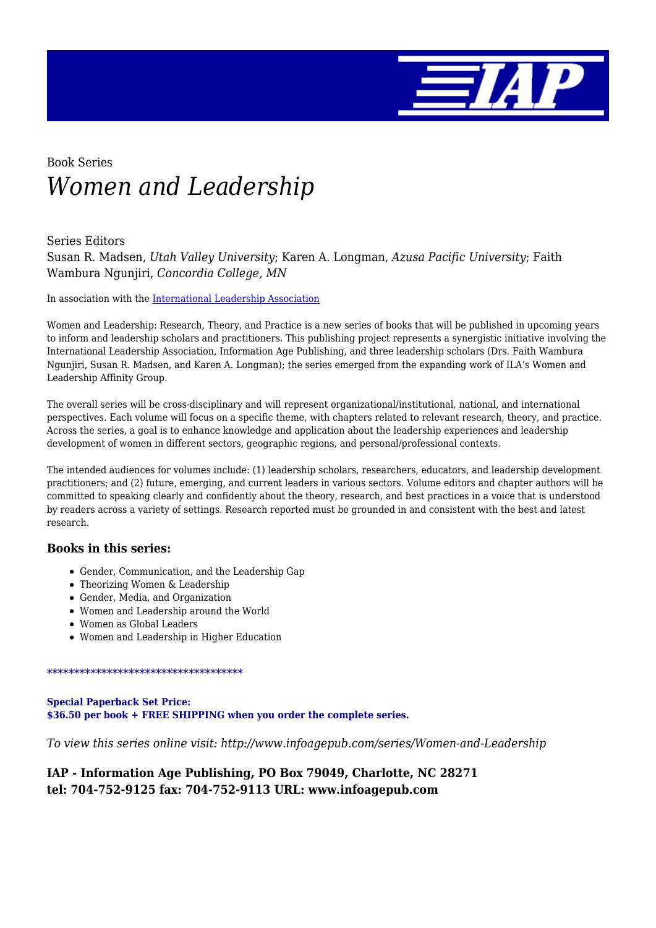

# Book Series *Women and Leadership*

### Series Editors

Susan R. Madsen, *Utah Valley University*; Karen A. Longman, *Azusa Pacific University*; Faith Wambura Ngunjiri, *Concordia College, MN*

In association with the [International Leadership Association](http://www.ila-net.org/)

Women and Leadership: Research, Theory, and Practice is a new series of books that will be published in upcoming years to inform and leadership scholars and practitioners. This publishing project represents a synergistic initiative involving the International Leadership Association, Information Age Publishing, and three leadership scholars (Drs. Faith Wambura Ngunjiri, Susan R. Madsen, and Karen A. Longman); the series emerged from the expanding work of ILA's Women and Leadership Affinity Group.

The overall series will be cross-disciplinary and will represent organizational/institutional, national, and international perspectives. Each volume will focus on a specific theme, with chapters related to relevant research, theory, and practice. Across the series, a goal is to enhance knowledge and application about the leadership experiences and leadership development of women in different sectors, geographic regions, and personal/professional contexts.

The intended audiences for volumes include: (1) leadership scholars, researchers, educators, and leadership development practitioners; and (2) future, emerging, and current leaders in various sectors. Volume editors and chapter authors will be committed to speaking clearly and confidently about the theory, research, and best practices in a voice that is understood by readers across a variety of settings. Research reported must be grounded in and consistent with the best and latest research.

#### **Books in this series:**

- Gender, Communication, and the Leadership Gap
- Theorizing Women & Leadership
- Gender, Media, and Organization
- Women and Leadership around the World
- Women as Global Leaders
- Women and Leadership in Higher Education

#### \*\*\*\*\*\*\*\*\*\*\*\*\*\*\*\*\*\*\*\*\*\*\*\*\*\*\*\*\*\*\*\*\*\*\*\*

#### **Special Paperback Set Price: \$36.50 per book + FREE SHIPPING when you order the complete series.**

*To view this series online visit: http://www.infoagepub.com/series/Women-and-Leadership*

### **IAP - Information Age Publishing, PO Box 79049, Charlotte, NC 28271 tel: 704-752-9125 fax: 704-752-9113 URL: www.infoagepub.com**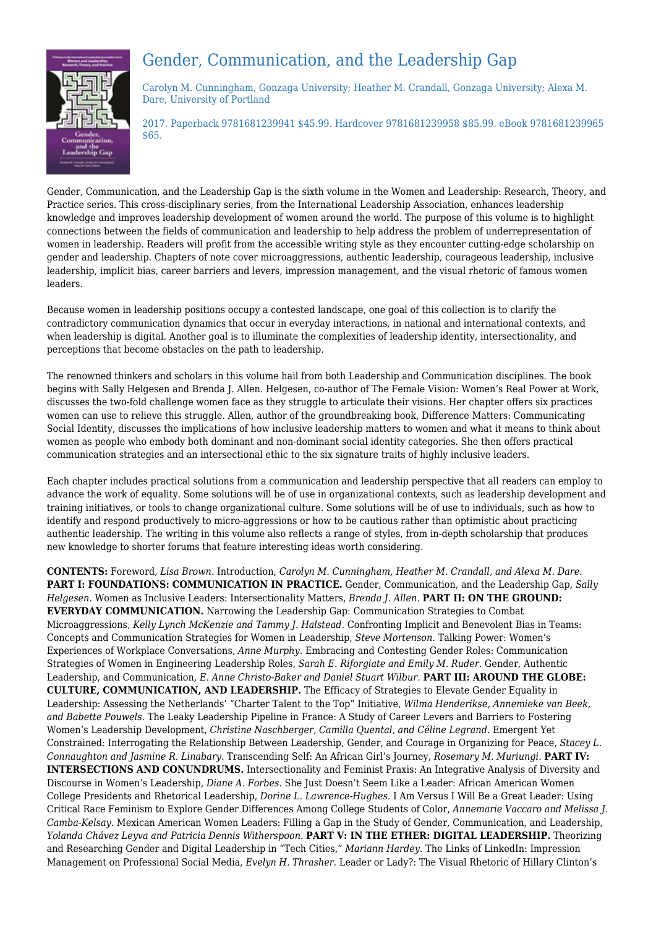

## Gender, Communication, and the Leadership Gap

Carolyn M. Cunningham, Gonzaga University; Heather M. Crandall, Gonzaga University; Alexa M. Dare, University of Portland

2017. Paperback 9781681239941 \$45.99. Hardcover 9781681239958 \$85.99. eBook 9781681239965 \$65.

Gender, Communication, and the Leadership Gap is the sixth volume in the Women and Leadership: Research, Theory, and Practice series. This cross-disciplinary series, from the International Leadership Association, enhances leadership knowledge and improves leadership development of women around the world. The purpose of this volume is to highlight connections between the fields of communication and leadership to help address the problem of underrepresentation of women in leadership. Readers will profit from the accessible writing style as they encounter cutting-edge scholarship on gender and leadership. Chapters of note cover microaggressions, authentic leadership, courageous leadership, inclusive leadership, implicit bias, career barriers and levers, impression management, and the visual rhetoric of famous women leaders.

Because women in leadership positions occupy a contested landscape, one goal of this collection is to clarify the contradictory communication dynamics that occur in everyday interactions, in national and international contexts, and when leadership is digital. Another goal is to illuminate the complexities of leadership identity, intersectionality, and perceptions that become obstacles on the path to leadership.

The renowned thinkers and scholars in this volume hail from both Leadership and Communication disciplines. The book begins with Sally Helgesen and Brenda J. Allen. Helgesen, co-author of The Female Vision: Women's Real Power at Work, discusses the two-fold challenge women face as they struggle to articulate their visions. Her chapter offers six practices women can use to relieve this struggle. Allen, author of the groundbreaking book, Difference Matters: Communicating Social Identity, discusses the implications of how inclusive leadership matters to women and what it means to think about women as people who embody both dominant and non-dominant social identity categories. She then offers practical communication strategies and an intersectional ethic to the six signature traits of highly inclusive leaders.

Each chapter includes practical solutions from a communication and leadership perspective that all readers can employ to advance the work of equality. Some solutions will be of use in organizational contexts, such as leadership development and training initiatives, or tools to change organizational culture. Some solutions will be of use to individuals, such as how to identify and respond productively to micro-aggressions or how to be cautious rather than optimistic about practicing authentic leadership. The writing in this volume also reflects a range of styles, from in-depth scholarship that produces new knowledge to shorter forums that feature interesting ideas worth considering.

**CONTENTS:** Foreword, *Lisa Brown.* Introduction, *Carolyn M. Cunningham, Heather M. Crandall, and Alexa M. Dare.* **PART I: FOUNDATIONS: COMMUNICATION IN PRACTICE.** Gender, Communication, and the Leadership Gap, *Sally Helgesen.* Women as Inclusive Leaders: Intersectionality Matters, *Brenda J. Allen.* **PART II: ON THE GROUND: EVERYDAY COMMUNICATION.** Narrowing the Leadership Gap: Communication Strategies to Combat Microaggressions, *Kelly Lynch McKenzie and Tammy J. Halstead.* Confronting Implicit and Benevolent Bias in Teams: Concepts and Communication Strategies for Women in Leadership, *Steve Mortenson.* Talking Power: Women's Experiences of Workplace Conversations, *Anne Murphy.* Embracing and Contesting Gender Roles: Communication Strategies of Women in Engineering Leadership Roles, *Sarah E. Riforgiate and Emily M. Ruder.* Gender, Authentic Leadership, and Communication, *E. Anne Christo-Baker and Daniel Stuart Wilbur.* **PART III: AROUND THE GLOBE: CULTURE, COMMUNICATION, AND LEADERSHIP.** The Efficacy of Strategies to Elevate Gender Equality in Leadership: Assessing the Netherlands' "Charter Talent to the Top" Initiative, *Wilma Henderikse, Annemieke van Beek, and Babette Pouwels.* The Leaky Leadership Pipeline in France: A Study of Career Levers and Barriers to Fostering Women's Leadership Development, *Christine Naschberger, Camilla Quental, and Céline Legrand.* Emergent Yet Constrained: Interrogating the Relationship Between Leadership, Gender, and Courage in Organizing for Peace, *Stacey L. Connaughton and Jasmine R. Linabary.* Transcending Self: An African Girl's Journey, *Rosemary M. Muriungi.* **PART IV: INTERSECTIONS AND CONUNDRUMS.** Intersectionality and Feminist Praxis: An Integrative Analysis of Diversity and Discourse in Women's Leadership, *Diane A. Forbes.* She Just Doesn't Seem Like a Leader: African American Women College Presidents and Rhetorical Leadership, *Dorine L. Lawrence-Hughes.* I Am Versus I Will Be a Great Leader: Using Critical Race Feminism to Explore Gender Differences Among College Students of Color, *Annemarie Vaccaro and Melissa J. Camba-Kelsay.* Mexican American Women Leaders: Filling a Gap in the Study of Gender, Communication, and Leadership, *Yolanda Chávez Leyva and Patricia Dennis Witherspoon.* **PART V: IN THE ETHER: DIGITAL LEADERSHIP.** Theorizing and Researching Gender and Digital Leadership in "Tech Cities," *Mariann Hardey.* The Links of LinkedIn: Impression Management on Professional Social Media, *Evelyn H. Thrasher.* Leader or Lady?: The Visual Rhetoric of Hillary Clinton's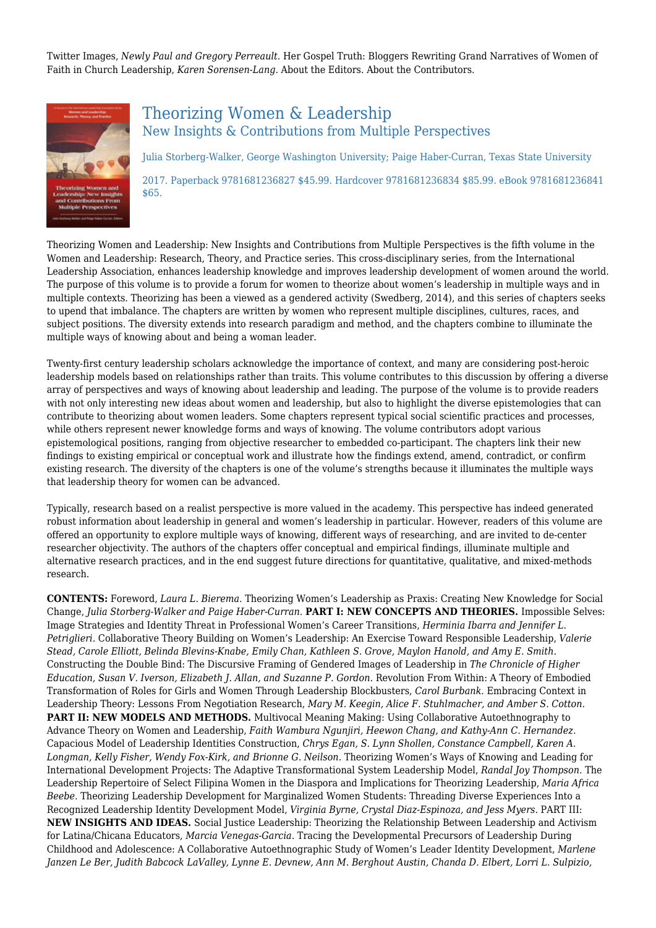Twitter Images, *Newly Paul and Gregory Perreault.* Her Gospel Truth: Bloggers Rewriting Grand Narratives of Women of Faith in Church Leadership, *Karen Sorensen-Lang.* About the Editors. About the Contributors.



\$65.

### Theorizing Women & Leadership New Insights & Contributions from Multiple Perspectives

Julia Storberg-Walker, George Washington University; Paige Haber-Curran, Texas State University 2017. Paperback 9781681236827 \$45.99. Hardcover 9781681236834 \$85.99. eBook 9781681236841

Theorizing Women and Leadership: New Insights and Contributions from Multiple Perspectives is the fifth volume in the Women and Leadership: Research, Theory, and Practice series. This cross‐disciplinary series, from the International Leadership Association, enhances leadership knowledge and improves leadership development of women around the world. The purpose of this volume is to provide a forum for women to theorize about women's leadership in multiple ways and in multiple contexts. Theorizing has been a viewed as a gendered activity (Swedberg, 2014), and this series of chapters seeks to upend that imbalance. The chapters are written by women who represent multiple disciplines, cultures, races, and subject positions. The diversity extends into research paradigm and method, and the chapters combine to illuminate the multiple ways of knowing about and being a woman leader.

Twenty-first century leadership scholars acknowledge the importance of context, and many are considering post-heroic leadership models based on relationships rather than traits. This volume contributes to this discussion by offering a diverse array of perspectives and ways of knowing about leadership and leading. The purpose of the volume is to provide readers with not only interesting new ideas about women and leadership, but also to highlight the diverse epistemologies that can contribute to theorizing about women leaders. Some chapters represent typical social scientific practices and processes, while others represent newer knowledge forms and ways of knowing. The volume contributors adopt various epistemological positions, ranging from objective researcher to embedded co-participant. The chapters link their new findings to existing empirical or conceptual work and illustrate how the findings extend, amend, contradict, or confirm existing research. The diversity of the chapters is one of the volume's strengths because it illuminates the multiple ways that leadership theory for women can be advanced.

Typically, research based on a realist perspective is more valued in the academy. This perspective has indeed generated robust information about leadership in general and women's leadership in particular. However, readers of this volume are offered an opportunity to explore multiple ways of knowing, different ways of researching, and are invited to de‐center researcher objectivity. The authors of the chapters offer conceptual and empirical findings, illuminate multiple and alternative research practices, and in the end suggest future directions for quantitative, qualitative, and mixed-methods research.

**CONTENTS:** Foreword, *Laura L. Bierema.* Theorizing Women's Leadership as Praxis: Creating New Knowledge for Social Change, *Julia Storberg‐Walker and Paige Haber‐Curran.* **PART I: NEW CONCEPTS AND THEORIES.** Impossible Selves: Image Strategies and Identity Threat in Professional Women's Career Transitions, *Herminia Ibarra and Jennifer L. Petriglieri.* Collaborative Theory Building on Women's Leadership: An Exercise Toward Responsible Leadership, *Valerie Stead, Carole Elliott, Belinda Blevins‐Knabe, Emily Chan, Kathleen S. Grove, Maylon Hanold, and Amy E. Smith.* Constructing the Double Bind: The Discursive Framing of Gendered Images of Leadership in *The Chronicle of Higher Education, Susan V. Iverson, Elizabeth J. Allan, and Suzanne P. Gordon.* Revolution From Within: A Theory of Embodied Transformation of Roles for Girls and Women Through Leadership Blockbusters, *Carol Burbank.* Embracing Context in Leadership Theory: Lessons From Negotiation Research, *Mary M. Keegin, Alice F. Stuhlmacher, and Amber S. Cotton.* **PART II: NEW MODELS AND METHODS.** Multivocal Meaning Making: Using Collaborative Autoethnography to Advance Theory on Women and Leadership, *Faith Wambura Ngunjiri, Heewon Chang, and Kathy‐Ann C. Hernandez.* Capacious Model of Leadership Identities Construction, *Chrys Egan, S. Lynn Shollen, Constance Campbell, Karen A. Longman, Kelly Fisher, Wendy Fox‐Kirk, and Brionne G. Neilson.* Theorizing Women's Ways of Knowing and Leading for International Development Projects: The Adaptive Transformational System Leadership Model, *Randal Joy Thompson.* The Leadership Repertoire of Select Filipina Women in the Diaspora and Implications for Theorizing Leadership, *Maria Africa Beebe.* Theorizing Leadership Development for Marginalized Women Students: Threading Diverse Experiences Into a Recognized Leadership Identity Development Model, *Virginia Byrne, Crystal Diaz‐Espinoza, and Jess Myers.* PART III: **NEW INSIGHTS AND IDEAS.** Social Justice Leadership: Theorizing the Relationship Between Leadership and Activism for Latina/Chicana Educators, *Marcia Venegas‐Garcia.* Tracing the Developmental Precursors of Leadership During Childhood and Adolescence: A Collaborative Autoethnographic Study of Women's Leader Identity Development, *Marlene Janzen Le Ber, Judith Babcock LaValley, Lynne E. Devnew, Ann M. Berghout Austin, Chanda D. Elbert, Lorri L. Sulpizio,*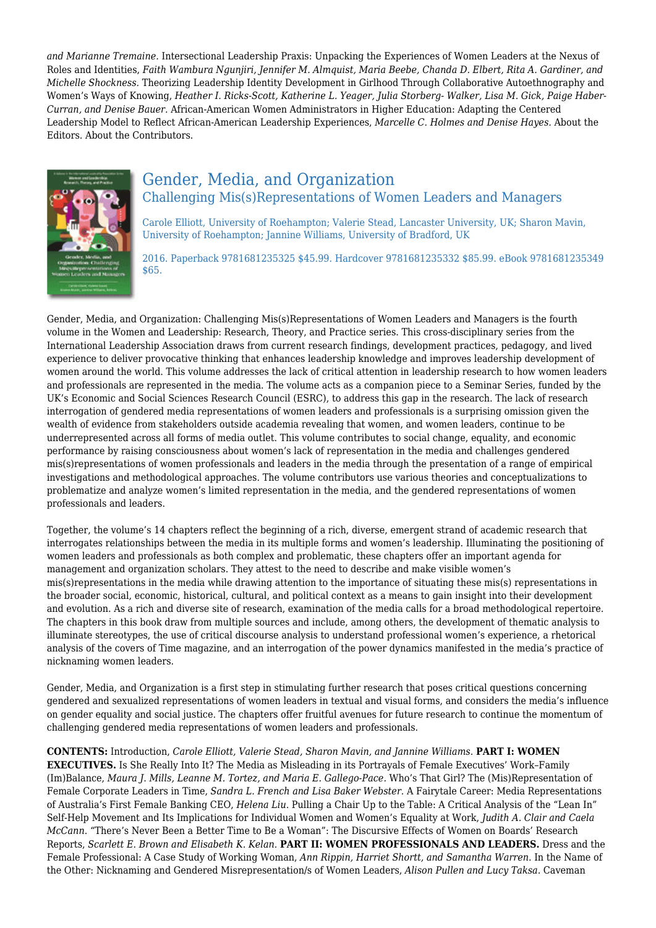*and Marianne Tremaine.* Intersectional Leadership Praxis: Unpacking the Experiences of Women Leaders at the Nexus of Roles and Identities, *Faith Wambura Ngunjiri, Jennifer M. Almquist, Maria Beebe, Chanda D. Elbert, Rita A. Gardiner, and Michelle Shockness.* Theorizing Leadership Identity Development in Girlhood Through Collaborative Autoethnography and Women's Ways of Knowing, *Heather I. Ricks‐Scott, Katherine L. Yeager, Julia Storberg‐ Walker, Lisa M. Gick, Paige Haber‐ Curran, and Denise Bauer.* African‐American Women Administrators in Higher Education: Adapting the Centered Leadership Model to Reflect African‐American Leadership Experiences, *Marcelle C. Holmes and Denise Hayes.* About the Editors. About the Contributors.



### Gender, Media, and Organization Challenging Mis(s)Representations of Women Leaders and Managers

Carole Elliott, University of Roehampton; Valerie Stead, Lancaster University, UK; Sharon Mavin, University of Roehampton; Jannine Williams, University of Bradford, UK

2016. Paperback 9781681235325 \$45.99. Hardcover 9781681235332 \$85.99. eBook 9781681235349 \$65.

Gender, Media, and Organization: Challenging Mis(s)Representations of Women Leaders and Managers is the fourth volume in the Women and Leadership: Research, Theory, and Practice series. This cross‐disciplinary series from the International Leadership Association draws from current research findings, development practices, pedagogy, and lived experience to deliver provocative thinking that enhances leadership knowledge and improves leadership development of women around the world. This volume addresses the lack of critical attention in leadership research to how women leaders and professionals are represented in the media. The volume acts as a companion piece to a Seminar Series, funded by the UK's Economic and Social Sciences Research Council (ESRC), to address this gap in the research. The lack of research interrogation of gendered media representations of women leaders and professionals is a surprising omission given the wealth of evidence from stakeholders outside academia revealing that women, and women leaders, continue to be underrepresented across all forms of media outlet. This volume contributes to social change, equality, and economic performance by raising consciousness about women's lack of representation in the media and challenges gendered mis(s)representations of women professionals and leaders in the media through the presentation of a range of empirical investigations and methodological approaches. The volume contributors use various theories and conceptualizations to problematize and analyze women's limited representation in the media, and the gendered representations of women professionals and leaders.

Together, the volume's 14 chapters reflect the beginning of a rich, diverse, emergent strand of academic research that interrogates relationships between the media in its multiple forms and women's leadership. Illuminating the positioning of women leaders and professionals as both complex and problematic, these chapters offer an important agenda for management and organization scholars. They attest to the need to describe and make visible women's mis(s)representations in the media while drawing attention to the importance of situating these mis(s) representations in the broader social, economic, historical, cultural, and political context as a means to gain insight into their development and evolution. As a rich and diverse site of research, examination of the media calls for a broad methodological repertoire. The chapters in this book draw from multiple sources and include, among others, the development of thematic analysis to illuminate stereotypes, the use of critical discourse analysis to understand professional women's experience, a rhetorical analysis of the covers of Time magazine, and an interrogation of the power dynamics manifested in the media's practice of nicknaming women leaders.

Gender, Media, and Organization is a first step in stimulating further research that poses critical questions concerning gendered and sexualized representations of women leaders in textual and visual forms, and considers the media's influence on gender equality and social justice. The chapters offer fruitful avenues for future research to continue the momentum of challenging gendered media representations of women leaders and professionals.

**CONTENTS:** Introduction, *Carole Elliott, Valerie Stead, Sharon Mavin, and Jannine Williams.* **PART I: WOMEN EXECUTIVES.** Is She Really Into It? The Media as Misleading in its Portrayals of Female Executives' Work–Family (Im)Balance, *Maura J. Mills, Leanne M. Tortez, and Maria E. Gallego‐Pace.* Who's That Girl? The (Mis)Representation of Female Corporate Leaders in Time, *Sandra L. French and Lisa Baker Webster.* A Fairytale Career: Media Representations of Australia's First Female Banking CEO, *Helena Liu.* Pulling a Chair Up to the Table: A Critical Analysis of the "Lean In" Self‐Help Movement and Its Implications for Individual Women and Women's Equality at Work, *Judith A. Clair and Caela McCann.* "There's Never Been a Better Time to Be a Woman": The Discursive Effects of Women on Boards' Research Reports, *Scarlett E. Brown and Elisabeth K. Kelan.* **PART II: WOMEN PROFESSIONALS AND LEADERS.** Dress and the Female Professional: A Case Study of Working Woman, *Ann Rippin, Harriet Shortt, and Samantha Warren.* In the Name of the Other: Nicknaming and Gendered Misrepresentation/s of Women Leaders, *Alison Pullen and Lucy Taksa.* Caveman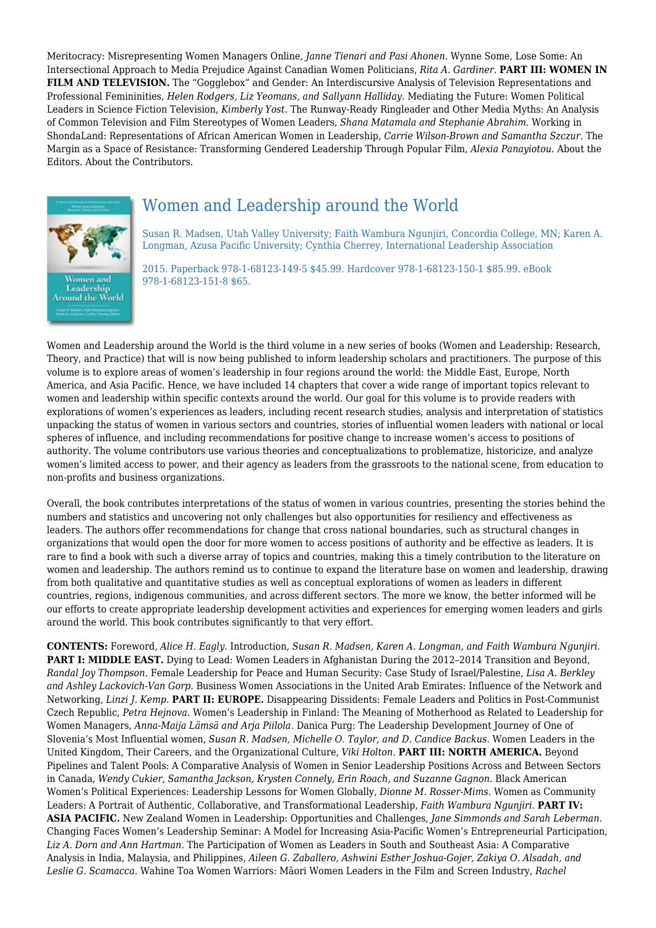Meritocracy: Misrepresenting Women Managers Online, *Janne Tienari and Pasi Ahonen.* Wynne Some, Lose Some: An Intersectional Approach to Media Prejudice Against Canadian Women Politicians, *Rita A. Gardiner.* **PART III: WOMEN IN FILM AND TELEVISION.** The "Gogglebox" and Gender: An Interdiscursive Analysis of Television Representations and Professional Femininities, *Helen Rodgers, Liz Yeomans, and Sallyann Halliday.* Mediating the Future: Women Political Leaders in Science Fiction Television, *Kimberly Yost.* The Runway‐Ready Ringleader and Other Media Myths: An Analysis of Common Television and Film Stereotypes of Women Leaders, *Shana Matamala and Stephanie Abrahim.* Working in ShondaLand: Representations of African American Women in Leadership, *Carrie Wilson‐Brown and Samantha Szczur.* The Margin as a Space of Resistance: Transforming Gendered Leadership Through Popular Film, *Alexia Panayiotou.* About the Editors. About the Contributors.



## Women and Leadership around the World

Susan R. Madsen, Utah Valley University; Faith Wambura Ngunjiri, Concordia College, MN; Karen A. Longman, Azusa Pacific University; Cynthia Cherrey, International Leadership Association

2015. Paperback 978-1-68123-149-5 \$45.99. Hardcover 978-1-68123-150-1 \$85.99. eBook 978-1-68123-151-8 \$65.

Women and Leadership around the World is the third volume in a new series of books (Women and Leadership: Research, Theory, and Practice) that will is now being published to inform leadership scholars and practitioners. The purpose of this volume is to explore areas of women's leadership in four regions around the world: the Middle East, Europe, North America, and Asia Pacific. Hence, we have included 14 chapters that cover a wide range of important topics relevant to women and leadership within specific contexts around the world. Our goal for this volume is to provide readers with explorations of women's experiences as leaders, including recent research studies, analysis and interpretation of statistics unpacking the status of women in various sectors and countries, stories of influential women leaders with national or local spheres of influence, and including recommendations for positive change to increase women's access to positions of authority. The volume contributors use various theories and conceptualizations to problematize, historicize, and analyze women's limited access to power, and their agency as leaders from the grassroots to the national scene, from education to non-profits and business organizations.

Overall, the book contributes interpretations of the status of women in various countries, presenting the stories behind the numbers and statistics and uncovering not only challenges but also opportunities for resiliency and effectiveness as leaders. The authors offer recommendations for change that cross national boundaries, such as structural changes in organizations that would open the door for more women to access positions of authority and be effective as leaders. It is rare to find a book with such a diverse array of topics and countries, making this a timely contribution to the literature on women and leadership. The authors remind us to continue to expand the literature base on women and leadership, drawing from both qualitative and quantitative studies as well as conceptual explorations of women as leaders in different countries, regions, indigenous communities, and across different sectors. The more we know, the better informed will be our efforts to create appropriate leadership development activities and experiences for emerging women leaders and girls around the world. This book contributes significantly to that very effort.

**CONTENTS:** Foreword, *Alice H. Eagly.* Introduction, *Susan R. Madsen, Karen A. Longman, and Faith Wambura Ngunjiri.* **PART I: MIDDLE EAST.** Dying to Lead: Women Leaders in Afghanistan During the 2012-2014 Transition and Beyond, *Randal Joy Thompson.* Female Leadership for Peace and Human Security: Case Study of Israel/Palestine, *Lisa A. Berkley and Ashley Lackovich-Van Gorp.* Business Women Associations in the United Arab Emirates: Influence of the Network and Networking, *Linzi J. Kemp.* **PART II: EUROPE.** Disappearing Dissidents: Female Leaders and Politics in Post-Communist Czech Republic, *Petra Hejnova.* Women's Leadership in Finland: The Meaning of Motherhood as Related to Leadership for Women Managers, *Anna-Maija Lämsä and Arja Piilola.* Danica Purg: The Leadership Development Journey of One of Slovenia's Most Influential women, *Susan R. Madsen, Michelle O. Taylor, and D. Candice Backus.* Women Leaders in the United Kingdom, Their Careers, and the Organizational Culture, *Viki Holton.* **PART III: NORTH AMERICA.** Beyond Pipelines and Talent Pools: A Comparative Analysis of Women in Senior Leadership Positions Across and Between Sectors in Canada, *Wendy Cukier, Samantha Jackson, Krysten Connely, Erin Roach, and Suzanne Gagnon.* Black American Women's Political Experiences: Leadership Lessons for Women Globally, *Dionne M. Rosser-Mims.* Women as Community Leaders: A Portrait of Authentic, Collaborative, and Transformational Leadership, *Faith Wambura Ngunjiri.* **PART IV: ASIA PACIFIC.** New Zealand Women in Leadership: Opportunities and Challenges, *Jane Simmonds and Sarah Leberman.* Changing Faces Women's Leadership Seminar: A Model for Increasing Asia-Pacific Women's Entrepreneurial Participation, *Liz A. Dorn and Ann Hartman.* The Participation of Women as Leaders in South and Southeast Asia: A Comparative Analysis in India, Malaysia, and Philippines, *Aileen G. Zaballero, Ashwini Esther Joshua-Gojer, Zakiya O. Alsadah, and Leslie G. Scamacca.* Wahine Toa Women Warriors: Māori Women Leaders in the Film and Screen Industry, *Rachel*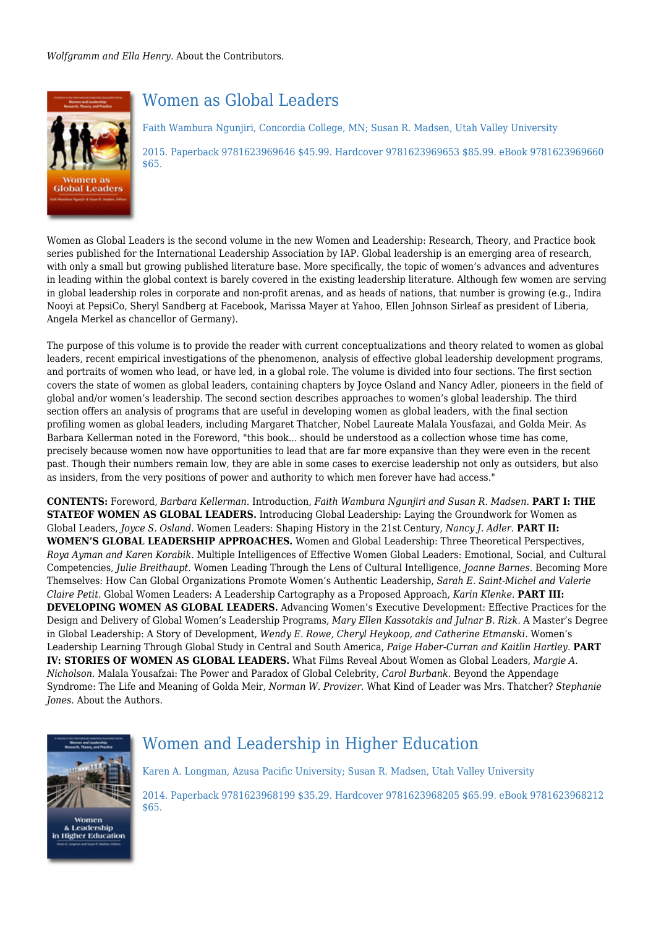*Wolfgramm and Ella Henry.* About the Contributors.



## Women as Global Leaders

Faith Wambura Ngunjiri, Concordia College, MN; Susan R. Madsen, Utah Valley University 2015. Paperback 9781623969646 \$45.99. Hardcover 9781623969653 \$85.99. eBook 9781623969660 \$65.

Women as Global Leaders is the second volume in the new Women and Leadership: Research, Theory, and Practice book series published for the International Leadership Association by IAP. Global leadership is an emerging area of research, with only a small but growing published literature base. More specifically, the topic of women's advances and adventures in leading within the global context is barely covered in the existing leadership literature. Although few women are serving in global leadership roles in corporate and non-profit arenas, and as heads of nations, that number is growing (e.g., Indira Nooyi at PepsiCo, Sheryl Sandberg at Facebook, Marissa Mayer at Yahoo, Ellen Johnson Sirleaf as president of Liberia, Angela Merkel as chancellor of Germany).

The purpose of this volume is to provide the reader with current conceptualizations and theory related to women as global leaders, recent empirical investigations of the phenomenon, analysis of effective global leadership development programs, and portraits of women who lead, or have led, in a global role. The volume is divided into four sections. The first section covers the state of women as global leaders, containing chapters by Joyce Osland and Nancy Adler, pioneers in the field of global and/or women's leadership. The second section describes approaches to women's global leadership. The third section offers an analysis of programs that are useful in developing women as global leaders, with the final section profiling women as global leaders, including Margaret Thatcher, Nobel Laureate Malala Yousfazai, and Golda Meir. As Barbara Kellerman noted in the Foreword, "this book... should be understood as a collection whose time has come, precisely because women now have opportunities to lead that are far more expansive than they were even in the recent past. Though their numbers remain low, they are able in some cases to exercise leadership not only as outsiders, but also as insiders, from the very positions of power and authority to which men forever have had access."

**CONTENTS:** Foreword, *Barbara Kellerman.* Introduction, *Faith Wambura Ngunjiri and Susan R. Madsen.* **PART I: THE STATEOF WOMEN AS GLOBAL LEADERS.** Introducing Global Leadership: Laying the Groundwork for Women as Global Leaders, *Joyce S. Osland.* Women Leaders: Shaping History in the 21st Century, *Nancy J. Adler.* **PART II: WOMEN'S GLOBAL LEADERSHIP APPROACHES.** Women and Global Leadership: Three Theoretical Perspectives, *Roya Ayman and Karen Korabik.* Multiple Intelligences of Effective Women Global Leaders: Emotional, Social, and Cultural Competencies, *Julie Breithaupt.* Women Leading Through the Lens of Cultural Intelligence, *Joanne Barnes.* Becoming More Themselves: How Can Global Organizations Promote Women's Authentic Leadership, *Sarah E. Saint-Michel and Valerie Claire Petit.* Global Women Leaders: A Leadership Cartography as a Proposed Approach, *Karin Klenke.* **PART III: DEVELOPING WOMEN AS GLOBAL LEADERS.** Advancing Women's Executive Development: Effective Practices for the Design and Delivery of Global Women's Leadership Programs, *Mary Ellen Kassotakis and Julnar B. Rizk.* A Master's Degree in Global Leadership: A Story of Development, *Wendy E. Rowe, Cheryl Heykoop, and Catherine Etmanski.* Women's Leadership Learning Through Global Study in Central and South America, *Paige Haber-Curran and Kaitlin Hartley.* **PART IV: STORIES OF WOMEN AS GLOBAL LEADERS.** What Films Reveal About Women as Global Leaders, *Margie A. Nicholson.* Malala Yousafzai: The Power and Paradox of Global Celebrity, *Carol Burbank.* Beyond the Appendage Syndrome: The Life and Meaning of Golda Meir, *Norman W. Provizer.* What Kind of Leader was Mrs. Thatcher? *Stephanie Jones.* About the Authors.



Women & Leadership<br>in Higher Education

## Women and Leadership in Higher Education

Karen A. Longman, Azusa Pacific University; Susan R. Madsen, Utah Valley University

2014. Paperback 9781623968199 \$35.29. Hardcover 9781623968205 \$65.99. eBook 9781623968212 \$65.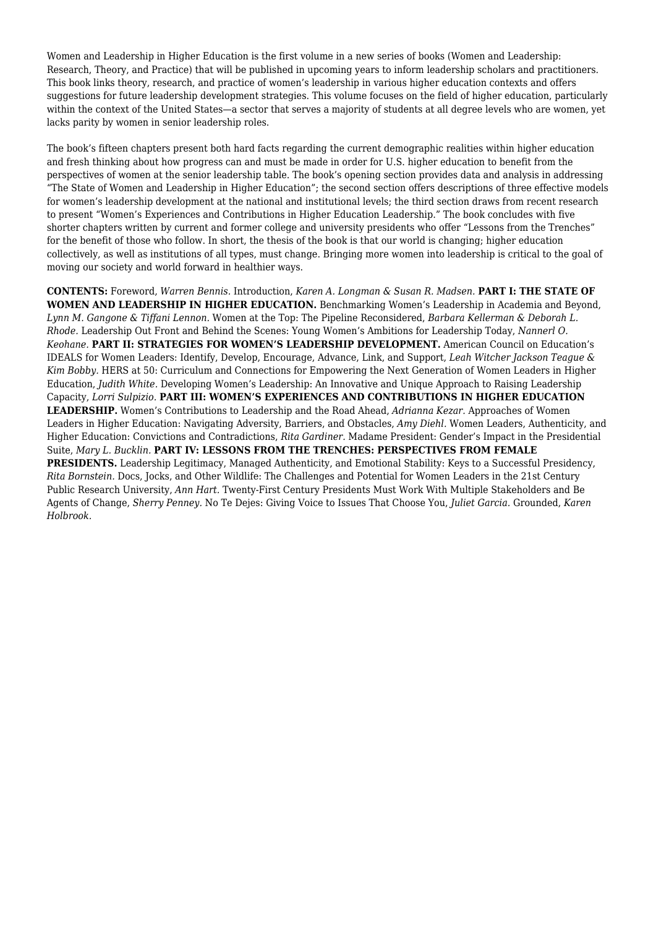Women and Leadership in Higher Education is the first volume in a new series of books (Women and Leadership: Research, Theory, and Practice) that will be published in upcoming years to inform leadership scholars and practitioners. This book links theory, research, and practice of women's leadership in various higher education contexts and offers suggestions for future leadership development strategies. This volume focuses on the field of higher education, particularly within the context of the United States—a sector that serves a majority of students at all degree levels who are women, yet lacks parity by women in senior leadership roles.

The book's fifteen chapters present both hard facts regarding the current demographic realities within higher education and fresh thinking about how progress can and must be made in order for U.S. higher education to benefit from the perspectives of women at the senior leadership table. The book's opening section provides data and analysis in addressing "The State of Women and Leadership in Higher Education"; the second section offers descriptions of three effective models for women's leadership development at the national and institutional levels; the third section draws from recent research to present "Women's Experiences and Contributions in Higher Education Leadership." The book concludes with five shorter chapters written by current and former college and university presidents who offer "Lessons from the Trenches" for the benefit of those who follow. In short, the thesis of the book is that our world is changing; higher education collectively, as well as institutions of all types, must change. Bringing more women into leadership is critical to the goal of moving our society and world forward in healthier ways.

**CONTENTS:** Foreword, *Warren Bennis.* Introduction, *Karen A. Longman & Susan R. Madsen.* **PART I: THE STATE OF WOMEN AND LEADERSHIP IN HIGHER EDUCATION.** Benchmarking Women's Leadership in Academia and Beyond, *Lynn M. Gangone & Tiffani Lennon.* Women at the Top: The Pipeline Reconsidered, *Barbara Kellerman & Deborah L. Rhode.* Leadership Out Front and Behind the Scenes: Young Women's Ambitions for Leadership Today, *Nannerl O. Keohane.* **PART II: STRATEGIES FOR WOMEN'S LEADERSHIP DEVELOPMENT.** American Council on Education's IDEALS for Women Leaders: Identify, Develop, Encourage, Advance, Link, and Support, *Leah Witcher Jackson Teague & Kim Bobby.* HERS at 50: Curriculum and Connections for Empowering the Next Generation of Women Leaders in Higher Education, *Judith White.* Developing Women's Leadership: An Innovative and Unique Approach to Raising Leadership Capacity, *Lorri Sulpizio.* **PART III: WOMEN'S EXPERIENCES AND CONTRIBUTIONS IN HIGHER EDUCATION LEADERSHIP.** Women's Contributions to Leadership and the Road Ahead, *Adrianna Kezar.* Approaches of Women Leaders in Higher Education: Navigating Adversity, Barriers, and Obstacles, *Amy Diehl.* Women Leaders, Authenticity, and Higher Education: Convictions and Contradictions, *Rita Gardiner.* Madame President: Gender's Impact in the Presidential Suite, *Mary L. Bucklin.* **PART IV: LESSONS FROM THE TRENCHES: PERSPECTIVES FROM FEMALE PRESIDENTS.** Leadership Legitimacy, Managed Authenticity, and Emotional Stability: Keys to a Successful Presidency, *Rita Bornstein.* Docs, Jocks, and Other Wildlife: The Challenges and Potential for Women Leaders in the 21st Century Public Research University, *Ann Hart.* Twenty-First Century Presidents Must Work With Multiple Stakeholders and Be Agents of Change, *Sherry Penney.* No Te Dejes: Giving Voice to Issues That Choose You, *Juliet Garcia.* Grounded, *Karen Holbrook.*